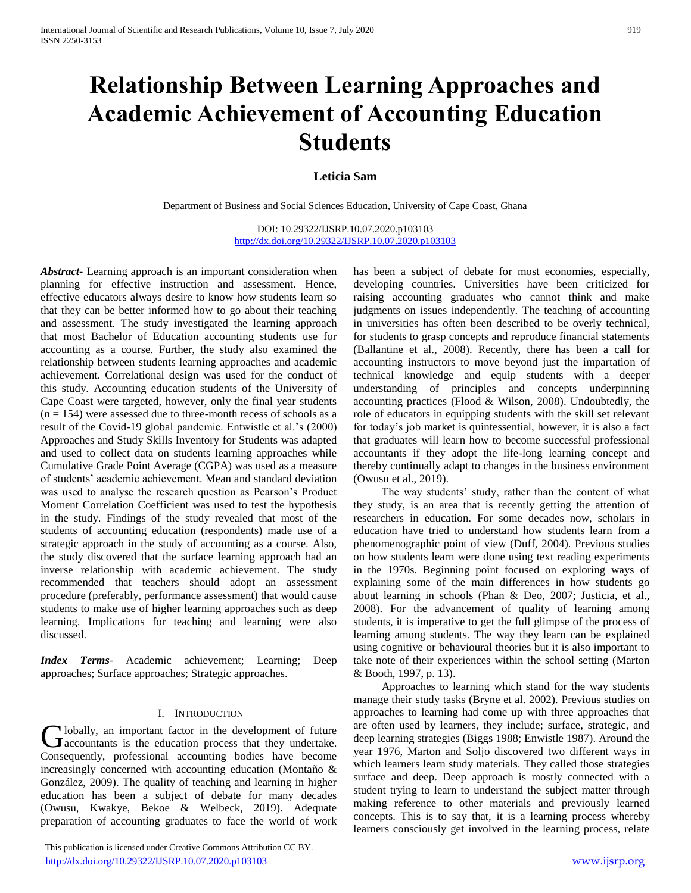# **Relationship Between Learning Approaches and Academic Achievement of Accounting Education Students**

# **Leticia Sam**

Department of Business and Social Sciences Education, University of Cape Coast, Ghana

DOI: 10.29322/IJSRP.10.07.2020.p103103 <http://dx.doi.org/10.29322/IJSRP.10.07.2020.p103103>

*Abstract***-** Learning approach is an important consideration when planning for effective instruction and assessment. Hence, effective educators always desire to know how students learn so that they can be better informed how to go about their teaching and assessment. The study investigated the learning approach that most Bachelor of Education accounting students use for accounting as a course. Further, the study also examined the relationship between students learning approaches and academic achievement. Correlational design was used for the conduct of this study. Accounting education students of the University of Cape Coast were targeted, however, only the final year students  $(n = 154)$  were assessed due to three-month recess of schools as a result of the Covid-19 global pandemic. Entwistle et al.'s (2000) Approaches and Study Skills Inventory for Students was adapted and used to collect data on students learning approaches while Cumulative Grade Point Average (CGPA) was used as a measure of students' academic achievement. Mean and standard deviation was used to analyse the research question as Pearson's Product Moment Correlation Coefficient was used to test the hypothesis in the study. Findings of the study revealed that most of the students of accounting education (respondents) made use of a strategic approach in the study of accounting as a course. Also, the study discovered that the surface learning approach had an inverse relationship with academic achievement. The study recommended that teachers should adopt an assessment procedure (preferably, performance assessment) that would cause students to make use of higher learning approaches such as deep learning. Implications for teaching and learning were also discussed.

*Index Terms*- Academic achievement; Learning; Deep approaches; Surface approaches; Strategic approaches.

# I. INTRODUCTION

Iobally, an important factor in the development of future **C** lobally, an important factor in the development of future<br>accountants is the education process that they undertake. Consequently, professional accounting bodies have become increasingly concerned with accounting education (Montaño & González, 2009). The quality of teaching and learning in higher education has been a subject of debate for many decades (Owusu, Kwakye, Bekoe & Welbeck, 2019). Adequate preparation of accounting graduates to face the world of work

 This publication is licensed under Creative Commons Attribution CC BY. <http://dx.doi.org/10.29322/IJSRP.10.07.2020.p103103> [www.ijsrp.org](http://ijsrp.org/)

has been a subject of debate for most economies, especially, developing countries. Universities have been criticized for raising accounting graduates who cannot think and make judgments on issues independently. The teaching of accounting in universities has often been described to be overly technical, for students to grasp concepts and reproduce financial statements (Ballantine et al., 2008). Recently, there has been a call for accounting instructors to move beyond just the impartation of technical knowledge and equip students with a deeper understanding of principles and concepts underpinning accounting practices (Flood & Wilson, 2008). Undoubtedly, the role of educators in equipping students with the skill set relevant for today's job market is quintessential, however, it is also a fact that graduates will learn how to become successful professional accountants if they adopt the life-long learning concept and thereby continually adapt to changes in the business environment (Owusu et al., 2019).

 The way students' study, rather than the content of what they study, is an area that is recently getting the attention of researchers in education. For some decades now, scholars in education have tried to understand how students learn from a phenomenographic point of view (Duff, 2004). Previous studies on how students learn were done using text reading experiments in the 1970s. Beginning point focused on exploring ways of explaining some of the main differences in how students go about learning in schools (Phan & Deo, 2007; Justicia, et al., 2008). For the advancement of quality of learning among students, it is imperative to get the full glimpse of the process of learning among students. The way they learn can be explained using cognitive or behavioural theories but it is also important to take note of their experiences within the school setting (Marton & Booth, 1997, p. 13).

 Approaches to learning which stand for the way students manage their study tasks (Bryne et al. 2002). Previous studies on approaches to learning had come up with three approaches that are often used by learners, they include; surface, strategic, and deep learning strategies (Biggs 1988; Enwistle 1987). Around the year 1976, Marton and Soljo discovered two different ways in which learners learn study materials. They called those strategies surface and deep. Deep approach is mostly connected with a student trying to learn to understand the subject matter through making reference to other materials and previously learned concepts. This is to say that, it is a learning process whereby learners consciously get involved in the learning process, relate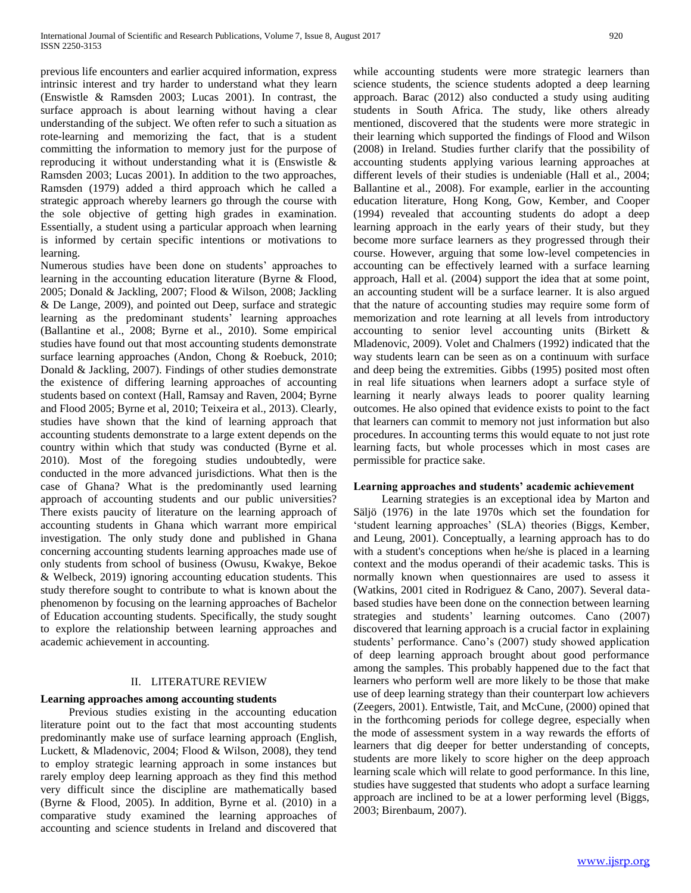previous life encounters and earlier acquired information, express intrinsic interest and try harder to understand what they learn (Enswistle & Ramsden 2003; Lucas 2001). In contrast, the surface approach is about learning without having a clear understanding of the subject. We often refer to such a situation as rote-learning and memorizing the fact, that is a student committing the information to memory just for the purpose of reproducing it without understanding what it is (Enswistle & Ramsden 2003; Lucas 2001). In addition to the two approaches, Ramsden (1979) added a third approach which he called a strategic approach whereby learners go through the course with the sole objective of getting high grades in examination. Essentially, a student using a particular approach when learning is informed by certain specific intentions or motivations to learning.

Numerous studies have been done on students' approaches to learning in the accounting education literature (Byrne & Flood, 2005; Donald & Jackling, 2007; Flood & Wilson, 2008; Jackling & De Lange, 2009), and pointed out Deep, surface and strategic learning as the predominant students' learning approaches (Ballantine et al., 2008; Byrne et al., 2010). Some empirical studies have found out that most accounting students demonstrate surface learning approaches (Andon, Chong & Roebuck, 2010; Donald & Jackling, 2007). Findings of other studies demonstrate the existence of differing learning approaches of accounting students based on context (Hall, Ramsay and Raven, 2004; Byrne and Flood 2005; Byrne et al, 2010; Teixeira et al., 2013). Clearly, studies have shown that the kind of learning approach that accounting students demonstrate to a large extent depends on the country within which that study was conducted (Byrne et al. 2010). Most of the foregoing studies undoubtedly, were conducted in the more advanced jurisdictions. What then is the case of Ghana? What is the predominantly used learning approach of accounting students and our public universities? There exists paucity of literature on the learning approach of accounting students in Ghana which warrant more empirical investigation. The only study done and published in Ghana concerning accounting students learning approaches made use of only students from school of business (Owusu, Kwakye, Bekoe & Welbeck, 2019) ignoring accounting education students. This study therefore sought to contribute to what is known about the phenomenon by focusing on the learning approaches of Bachelor of Education accounting students. Specifically, the study sought to explore the relationship between learning approaches and academic achievement in accounting.

## II. LITERATURE REVIEW

## **Learning approaches among accounting students**

 Previous studies existing in the accounting education literature point out to the fact that most accounting students predominantly make use of surface learning approach (English, Luckett, & Mladenovic, 2004; Flood & Wilson, 2008), they tend to employ strategic learning approach in some instances but rarely employ deep learning approach as they find this method very difficult since the discipline are mathematically based (Byrne & Flood, 2005). In addition, Byrne et al. (2010) in a comparative study examined the learning approaches of accounting and science students in Ireland and discovered that

while accounting students were more strategic learners than science students, the science students adopted a deep learning approach. Barac (2012) also conducted a study using auditing students in South Africa. The study, like others already mentioned, discovered that the students were more strategic in their learning which supported the findings of Flood and Wilson (2008) in Ireland. Studies further clarify that the possibility of accounting students applying various learning approaches at different levels of their studies is undeniable (Hall et al., 2004; Ballantine et al., 2008). For example, earlier in the accounting education literature, Hong Kong, Gow, Kember, and Cooper (1994) revealed that accounting students do adopt a deep learning approach in the early years of their study, but they become more surface learners as they progressed through their course. However, arguing that some low-level competencies in accounting can be effectively learned with a surface learning approach, Hall et al. (2004) support the idea that at some point, an accounting student will be a surface learner. It is also argued that the nature of accounting studies may require some form of memorization and rote learning at all levels from introductory accounting to senior level accounting units (Birkett & Mladenovic, 2009). Volet and Chalmers (1992) indicated that the way students learn can be seen as on a continuum with surface and deep being the extremities. Gibbs (1995) posited most often in real life situations when learners adopt a surface style of learning it nearly always leads to poorer quality learning outcomes. He also opined that evidence exists to point to the fact that learners can commit to memory not just information but also procedures. In accounting terms this would equate to not just rote learning facts, but whole processes which in most cases are permissible for practice sake.

#### **Learning approaches and students' academic achievement**

 Learning strategies is an exceptional idea by Marton and Säljö (1976) in the late 1970s which set the foundation for 'student learning approaches' (SLA) theories (Biggs, Kember, and Leung, 2001). Conceptually, a learning approach has to do with a student's conceptions when he/she is placed in a learning context and the modus operandi of their academic tasks. This is normally known when questionnaires are used to assess it (Watkins, 2001 cited in Rodriguez & Cano, 2007). Several databased studies have been done on the connection between learning strategies and students' learning outcomes. Cano (2007) discovered that learning approach is a crucial factor in explaining students' performance. Cano's (2007) study showed application of deep learning approach brought about good performance among the samples. This probably happened due to the fact that learners who perform well are more likely to be those that make use of deep learning strategy than their counterpart low achievers (Zeegers, 2001). Entwistle, Tait, and McCune, (2000) opined that in the forthcoming periods for college degree, especially when the mode of assessment system in a way rewards the efforts of learners that dig deeper for better understanding of concepts, students are more likely to score higher on the deep approach learning scale which will relate to good performance. In this line, studies have suggested that students who adopt a surface learning approach are inclined to be at a lower performing level (Biggs, 2003; Birenbaum, 2007).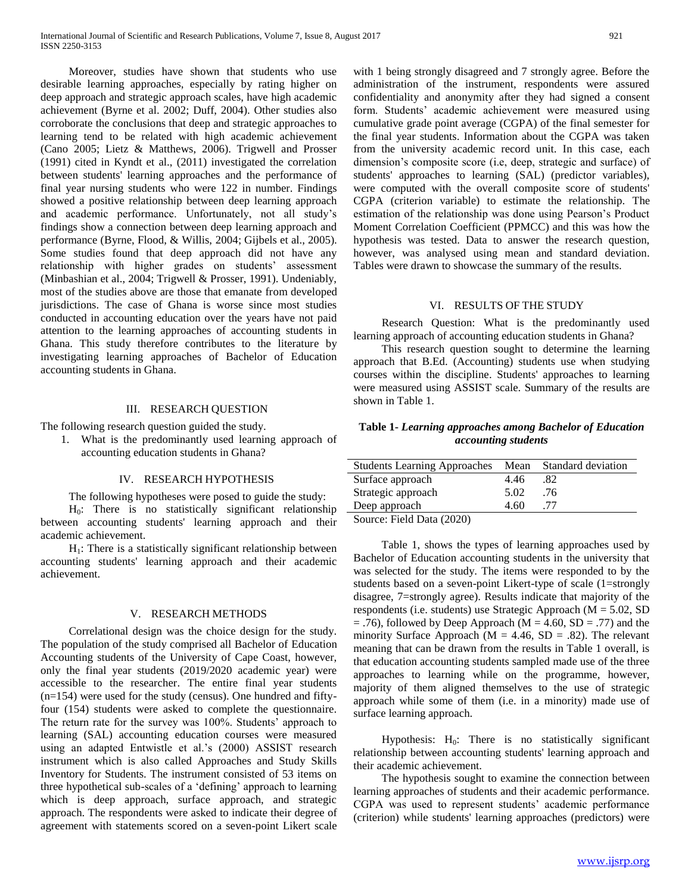Moreover, studies have shown that students who use desirable learning approaches, especially by rating higher on deep approach and strategic approach scales, have high academic achievement (Byrne et al. 2002; Duff, 2004). Other studies also corroborate the conclusions that deep and strategic approaches to learning tend to be related with high academic achievement (Cano 2005; Lietz & Matthews, 2006). Trigwell and Prosser (1991) cited in Kyndt et al., (2011) investigated the correlation between students' learning approaches and the performance of final year nursing students who were 122 in number. Findings showed a positive relationship between deep learning approach and academic performance. Unfortunately, not all study's findings show a connection between deep learning approach and performance (Byrne, Flood, & Willis, 2004; Gijbels et al., 2005). Some studies found that deep approach did not have any relationship with higher grades on students' assessment (Minbashian et al., 2004; Trigwell & Prosser, 1991). Undeniably, most of the studies above are those that emanate from developed jurisdictions. The case of Ghana is worse since most studies conducted in accounting education over the years have not paid attention to the learning approaches of accounting students in Ghana. This study therefore contributes to the literature by investigating learning approaches of Bachelor of Education accounting students in Ghana.

## III. RESEARCH QUESTION

The following research question guided the study.

1. What is the predominantly used learning approach of accounting education students in Ghana?

#### IV. RESEARCH HYPOTHESIS

The following hypotheses were posed to guide the study:

 $H<sub>0</sub>$ : There is no statistically significant relationship between accounting students' learning approach and their academic achievement.

 $H<sub>1</sub>$ : There is a statistically significant relationship between accounting students' learning approach and their academic achievement.

## V. RESEARCH METHODS

 Correlational design was the choice design for the study. The population of the study comprised all Bachelor of Education Accounting students of the University of Cape Coast, however, only the final year students (2019/2020 academic year) were accessible to the researcher. The entire final year students  $(n=154)$  were used for the study (census). One hundred and fiftyfour (154) students were asked to complete the questionnaire. The return rate for the survey was 100%. Students' approach to learning (SAL) accounting education courses were measured using an adapted Entwistle et al.'s (2000) ASSIST research instrument which is also called Approaches and Study Skills Inventory for Students. The instrument consisted of 53 items on three hypothetical sub-scales of a 'defining' approach to learning which is deep approach, surface approach, and strategic approach. The respondents were asked to indicate their degree of agreement with statements scored on a seven-point Likert scale

with 1 being strongly disagreed and 7 strongly agree. Before the administration of the instrument, respondents were assured confidentiality and anonymity after they had signed a consent form. Students' academic achievement were measured using cumulative grade point average (CGPA) of the final semester for the final year students. Information about the CGPA was taken from the university academic record unit. In this case, each dimension's composite score (i.e, deep, strategic and surface) of students' approaches to learning (SAL) (predictor variables), were computed with the overall composite score of students' CGPA (criterion variable) to estimate the relationship. The estimation of the relationship was done using Pearson's Product Moment Correlation Coefficient (PPMCC) and this was how the hypothesis was tested. Data to answer the research question, however, was analysed using mean and standard deviation. Tables were drawn to showcase the summary of the results.

#### VI. RESULTS OF THE STUDY

 Research Question: What is the predominantly used learning approach of accounting education students in Ghana?

 This research question sought to determine the learning approach that B.Ed. (Accounting) students use when studying courses within the discipline. Students' approaches to learning were measured using ASSIST scale. Summary of the results are shown in Table 1.

# **Table 1-** *Learning approaches among Bachelor of Education accounting students*

| Students Learning Approaches Mean Standard deviation      |      |     |
|-----------------------------------------------------------|------|-----|
| Surface approach                                          | 4.46 | .82 |
| Strategic approach                                        | 5.02 | .76 |
| Deep approach                                             | 4.60 | .77 |
| $C_{\text{out}}$ $E_{\text{old}}$ $D_{\text{obs}}$ (2020) |      |     |

Source: Field Data (2020)

 Table 1, shows the types of learning approaches used by Bachelor of Education accounting students in the university that was selected for the study. The items were responded to by the students based on a seven-point Likert-type of scale (1=strongly disagree, 7=strongly agree). Results indicate that majority of the respondents (i.e. students) use Strategic Approach (M = 5.02, SD  $=$  .76), followed by Deep Approach (M = 4.60, SD = .77) and the minority Surface Approach ( $M = 4.46$ , SD = .82). The relevant meaning that can be drawn from the results in Table 1 overall, is that education accounting students sampled made use of the three approaches to learning while on the programme, however, majority of them aligned themselves to the use of strategic approach while some of them (i.e. in a minority) made use of surface learning approach.

Hypothesis:  $H_0$ : There is no statistically significant relationship between accounting students' learning approach and their academic achievement.

 The hypothesis sought to examine the connection between learning approaches of students and their academic performance. CGPA was used to represent students' academic performance (criterion) while students' learning approaches (predictors) were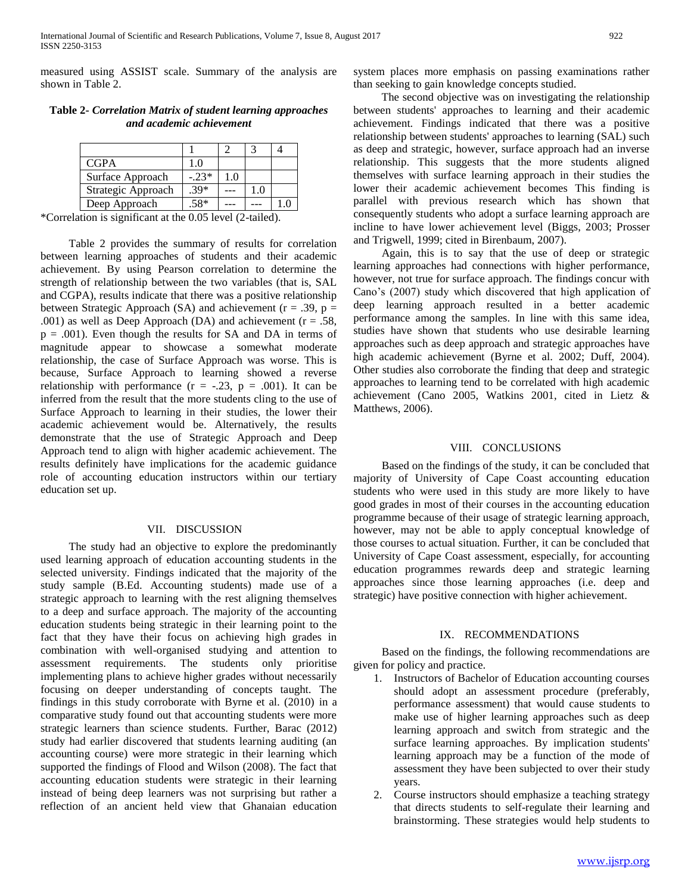measured using ASSIST scale. Summary of the analysis are shown in Table 2.

| ana acaacmic achievement |  |  |  |
|--------------------------|--|--|--|
|                          |  |  |  |
|                          |  |  |  |

| Table 2- Correlation Matrix of student learning approaches |
|------------------------------------------------------------|
| and academic achievement                                   |

Deep Approach  $.58*$  --- -- 1.0 \*Correlation is significant at the 0.05 level (2-tailed).

Surface Approach  $\Big|$  -.23\* 1.0 Strategic Approach  $\left| .39^* \right|$  ---  $\left| 1.0 \right|$ 

 Table 2 provides the summary of results for correlation between learning approaches of students and their academic achievement. By using Pearson correlation to determine the strength of relationship between the two variables (that is, SAL and CGPA), results indicate that there was a positive relationship between Strategic Approach (SA) and achievement ( $r = .39$ ,  $p =$ .001) as well as Deep Approach (DA) and achievement ( $r = .58$ ,  $p = .001$ ). Even though the results for SA and DA in terms of magnitude appear to showcase a somewhat moderate relationship, the case of Surface Approach was worse. This is because, Surface Approach to learning showed a reverse relationship with performance  $(r = -.23, p = .001)$ . It can be inferred from the result that the more students cling to the use of Surface Approach to learning in their studies, the lower their academic achievement would be. Alternatively, the results demonstrate that the use of Strategic Approach and Deep Approach tend to align with higher academic achievement. The results definitely have implications for the academic guidance role of accounting education instructors within our tertiary education set up.

#### VII. DISCUSSION

 The study had an objective to explore the predominantly used learning approach of education accounting students in the selected university. Findings indicated that the majority of the study sample (B.Ed. Accounting students) made use of a strategic approach to learning with the rest aligning themselves to a deep and surface approach. The majority of the accounting education students being strategic in their learning point to the fact that they have their focus on achieving high grades in combination with well-organised studying and attention to assessment requirements. The students only prioritise implementing plans to achieve higher grades without necessarily focusing on deeper understanding of concepts taught. The findings in this study corroborate with Byrne et al. (2010) in a comparative study found out that accounting students were more strategic learners than science students. Further, Barac (2012) study had earlier discovered that students learning auditing (an accounting course) were more strategic in their learning which supported the findings of Flood and Wilson (2008). The fact that accounting education students were strategic in their learning instead of being deep learners was not surprising but rather a reflection of an ancient held view that Ghanaian education system places more emphasis on passing examinations rather than seeking to gain knowledge concepts studied.

 The second objective was on investigating the relationship between students' approaches to learning and their academic achievement. Findings indicated that there was a positive relationship between students' approaches to learning (SAL) such as deep and strategic, however, surface approach had an inverse relationship. This suggests that the more students aligned themselves with surface learning approach in their studies the lower their academic achievement becomes This finding is parallel with previous research which has shown that consequently students who adopt a surface learning approach are incline to have lower achievement level (Biggs, 2003; Prosser and Trigwell, 1999; cited in Birenbaum, 2007).

 Again, this is to say that the use of deep or strategic learning approaches had connections with higher performance, however, not true for surface approach. The findings concur with Cano's (2007) study which discovered that high application of deep learning approach resulted in a better academic performance among the samples. In line with this same idea, studies have shown that students who use desirable learning approaches such as deep approach and strategic approaches have high academic achievement (Byrne et al. 2002; Duff, 2004). Other studies also corroborate the finding that deep and strategic approaches to learning tend to be correlated with high academic achievement (Cano 2005, Watkins 2001, cited in Lietz & Matthews, 2006).

## VIII. CONCLUSIONS

 Based on the findings of the study, it can be concluded that majority of University of Cape Coast accounting education students who were used in this study are more likely to have good grades in most of their courses in the accounting education programme because of their usage of strategic learning approach, however, may not be able to apply conceptual knowledge of those courses to actual situation. Further, it can be concluded that University of Cape Coast assessment, especially, for accounting education programmes rewards deep and strategic learning approaches since those learning approaches (i.e. deep and strategic) have positive connection with higher achievement.

### IX. RECOMMENDATIONS

 Based on the findings, the following recommendations are given for policy and practice.

- 1. Instructors of Bachelor of Education accounting courses should adopt an assessment procedure (preferably, performance assessment) that would cause students to make use of higher learning approaches such as deep learning approach and switch from strategic and the surface learning approaches. By implication students' learning approach may be a function of the mode of assessment they have been subjected to over their study years.
- 2. Course instructors should emphasize a teaching strategy that directs students to self-regulate their learning and brainstorming. These strategies would help students to